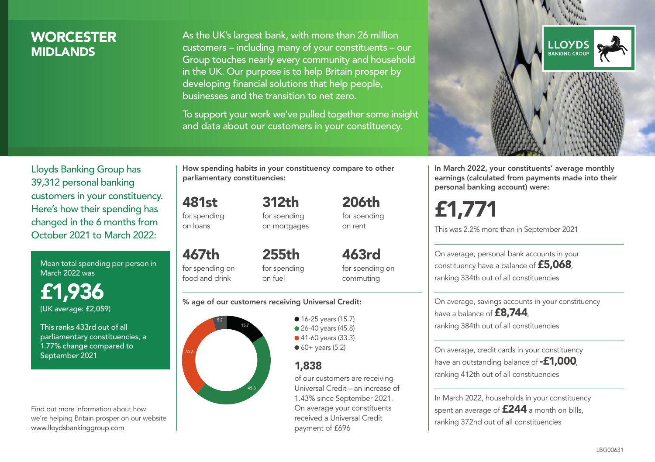## **WORCESTER MIDI ANDS**

As the UK's largest bank, with more than 26 million customers – including many of your constituents – our Group touches nearly every community and household in the UK. Our purpose is to help Britain prosper by developing financial solutions that help people, businesses and the transition to net zero.

To support your work we've pulled together some insight and data about our customers in your constituency.



In March 2022, your constituents' average monthly earnings (calculated from payments made into their personal banking account) were:

£1,771

This was 2.2% more than in September 2021

On average, personal bank accounts in your constituency have a balance of £5,068, ranking 334th out of all constituencies

On average, savings accounts in your constituency have a balance of **£8,744**, ranking 384th out of all constituencies

On average, credit cards in your constituency have an outstanding balance of **-£1,000** ranking 412th out of all constituencies

In March 2022, households in your constituency spent an average of **£244** a month on bills, ranking 372nd out of all constituencies

Lloyds Banking Group has 39,312 personal banking customers in your constituency. Here's how their spending has changed in the 6 months from October 2021 to March 2022:

Mean total spending per person in March 2022 was

£1,936 (UK average: £2,059)

This ranks 433rd out of all parliamentary constituencies, a 1.77% change compared to September 2021

Find out more information about how we're helping Britain prosper on our website www.lloydsbankinggroup.com

How spending habits in your constituency compare to other parliamentary constituencies:

481st for spending on loans

for spending on mortgages

312th

467th for spending on food and drink 255th for spending on fuel

for spending on commuting

463rd

206th for spending on rent

### % age of our customers receiving Universal Credit:



• 16-25 years (15.7) ● 26-40 years (45.8) ● 41-60 years (33.3)  $60+$  years (5.2)

## 1,838

of our customers are receiving Universal Credit – an increase of 1.43% since September 2021. On average your constituents received a Universal Credit payment of £696